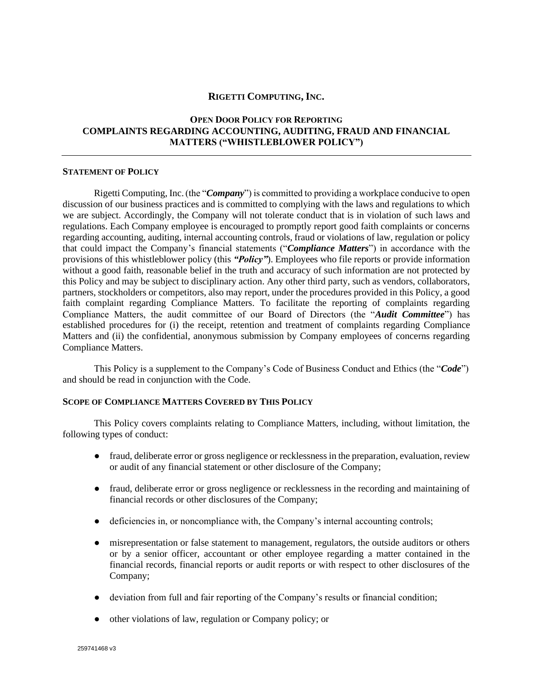# **RIGETTI COMPUTING, INC.**

# **OPEN DOOR POLICY FOR REPORTING COMPLAINTS REGARDING ACCOUNTING, AUDITING, FRAUD AND FINANCIAL MATTERS ("WHISTLEBLOWER POLICY")**

#### **STATEMENT OF POLICY**

Rigetti Computing, Inc.(the "*Company*") is committed to providing a workplace conducive to open discussion of our business practices and is committed to complying with the laws and regulations to which we are subject. Accordingly, the Company will not tolerate conduct that is in violation of such laws and regulations. Each Company employee is encouraged to promptly report good faith complaints or concerns regarding accounting, auditing, internal accounting controls, fraud or violations of law, regulation or policy that could impact the Company's financial statements ("*Compliance Matters*") in accordance with the provisions of this whistleblower policy (this *"Policy"*). Employees who file reports or provide information without a good faith, reasonable belief in the truth and accuracy of such information are not protected by this Policy and may be subject to disciplinary action. Any other third party, such as vendors, collaborators, partners, stockholders or competitors, also may report, under the procedures provided in this Policy, a good faith complaint regarding Compliance Matters. To facilitate the reporting of complaints regarding Compliance Matters, the audit committee of our Board of Directors (the "*Audit Committee*") has established procedures for (i) the receipt, retention and treatment of complaints regarding Compliance Matters and (ii) the confidential, anonymous submission by Company employees of concerns regarding Compliance Matters.

This Policy is a supplement to the Company's Code of Business Conduct and Ethics (the "*Code*") and should be read in conjunction with the Code.

### **SCOPE OF COMPLIANCE MATTERS COVERED BY THIS POLICY**

This Policy covers complaints relating to Compliance Matters, including, without limitation, the following types of conduct:

- fraud, deliberate error or gross negligence or recklessness in the preparation, evaluation, review or audit of any financial statement or other disclosure of the Company;
- fraud, deliberate error or gross negligence or recklessness in the recording and maintaining of financial records or other disclosures of the Company;
- deficiencies in, or noncompliance with, the Company's internal accounting controls;
- misrepresentation or false statement to management, regulators, the outside auditors or others or by a senior officer, accountant or other employee regarding a matter contained in the financial records, financial reports or audit reports or with respect to other disclosures of the Company;
- deviation from full and fair reporting of the Company's results or financial condition;
- other violations of law, regulation or Company policy; or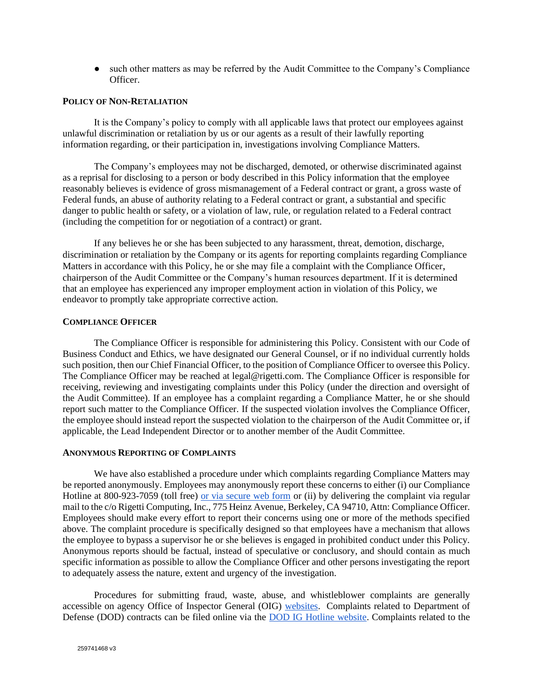• such other matters as may be referred by the Audit Committee to the Company's Compliance Officer.

### **POLICY OF NON-RETALIATION**

It is the Company's policy to comply with all applicable laws that protect our employees against unlawful discrimination or retaliation by us or our agents as a result of their lawfully reporting information regarding, or their participation in, investigations involving Compliance Matters.

The Company's employees may not be discharged, demoted, or otherwise discriminated against as a reprisal for disclosing to a person or body described in this Policy information that the employee reasonably believes is evidence of gross mismanagement of a Federal contract or grant, a gross waste of Federal funds, an abuse of authority relating to a Federal contract or grant, a substantial and specific danger to public health or safety, or a violation of law, rule, or regulation related to a Federal contract (including the competition for or negotiation of a contract) or grant.

If any believes he or she has been subjected to any harassment, threat, demotion, discharge, discrimination or retaliation by the Company or its agents for reporting complaints regarding Compliance Matters in accordance with this Policy, he or she may file a complaint with the Compliance Officer, chairperson of the Audit Committee or the Company's human resources department. If it is determined that an employee has experienced any improper employment action in violation of this Policy, we endeavor to promptly take appropriate corrective action.

#### **COMPLIANCE OFFICER**

The Compliance Officer is responsible for administering this Policy. Consistent with our Code of Business Conduct and Ethics, we have designated our General Counsel, or if no individual currently holds such position, then our Chief Financial Officer, to the position of Compliance Officer to oversee this Policy. The Compliance Officer may be reached at legal@rigetti.com. The Compliance Officer is responsible for receiving, reviewing and investigating complaints under this Policy (under the direction and oversight of the Audit Committee). If an employee has a complaint regarding a Compliance Matter, he or she should report such matter to the Compliance Officer. If the suspected violation involves the Compliance Officer, the employee should instead report the suspected violation to the chairperson of the Audit Committee or, if applicable, the Lead Independent Director or to another member of the Audit Committee.

#### **ANONYMOUS REPORTING OF COMPLAINTS**

We have also established a procedure under which complaints regarding Compliance Matters may be reported anonymously. Employees may anonymously report these concerns to either (i) our Compliance Hotline at 800-923-7059 (toll free) [or via secure web form](https://www.whistleblowerservices.com/RGTI) or (ii) by delivering the complaint via regular mail to the c/o Rigetti Computing, Inc., 775 Heinz Avenue, Berkeley, CA 94710, Attn: Compliance Officer. Employees should make every effort to report their concerns using one or more of the methods specified above. The complaint procedure is specifically designed so that employees have a mechanism that allows the employee to bypass a supervisor he or she believes is engaged in prohibited conduct under this Policy. Anonymous reports should be factual, instead of speculative or conclusory, and should contain as much specific information as possible to allow the Compliance Officer and other persons investigating the report to adequately assess the nature, extent and urgency of the investigation.

Procedures for submitting fraud, waste, abuse, and whistleblower complaints are generally accessible on agency Office of Inspector General (OIG) [websites.](https://oig.hhs.gov/) Complaints related to Department of Defense (DOD) contracts can be filed online via the [DOD IG Hotline website.](https://www.dodig.mil/Components/Administrative-Investigations/DoD-Hotline/) Complaints related to the